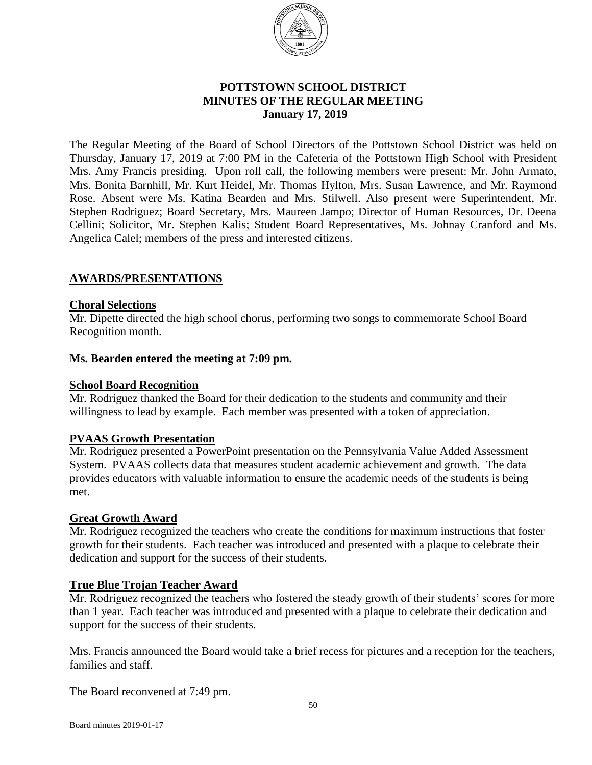

# **POTTSTOWN SCHOOL DISTRICT MINUTES OF THE REGULAR MEETING** **January 17, 2019**

The Regular Meeting of the Board of School Directors of the Pottstown School District was held on Thursday, January 17, 2019 at 7:00 PM in the Cafeteria of the Pottstown High School with President Mrs. Amy Francis presiding. Upon roll call, the following members were present: Mr. John Armato, Mrs. Bonita Barnhill, Mr. Kurt Heidel, Mr. Thomas Hylton, Mrs. Susan Lawrence, and Mr. Raymond Rose. Absent were Ms. Katina Bearden and Mrs. Stilwell. Also present were Superintendent, Mr. Stephen Rodriguez; Board Secretary, Mrs. Maureen Jampo; Director of Human Resources, Dr. Deena Cellini; Solicitor, Mr. Stephen Kalis; Student Board Representatives, Ms. Johnay Cranford and Ms. Angelica Calel; members of the press and interested citizens.

## **AWARDS/PRESENTATIONS**

## **Choral Selections**

Mr. Dipette directed the high school chorus, performing two songs to commemorate School Board Recognition month.

### **Ms. Bearden entered the meeting at 7:09 pm.**

### **School Board Recognition**

Mr. Rodriguez thanked the Board for their dedication to the students and community and their willingness to lead by example. Each member was presented with a token of appreciation.

## **PVAAS Growth Presentation**

Mr. Rodriguez presented a PowerPoint presentation on the Pennsylvania Value Added Assessment System. PVAAS collects data that measures student academic achievement and growth. The data provides educators with valuable information to ensure the academic needs of the students is being met.

### **Great Growth Award**

Mr. Rodriguez recognized the teachers who create the conditions for maximum instructions that foster growth for their students. Each teacher was introduced and presented with a plaque to celebrate their dedication and support for the success of their students.

## **True Blue Trojan Teacher Award**

Mr. Rodriguez recognized the teachers who fostered the steady growth of their students' scores for more than 1 year. Each teacher was introduced and presented with a plaque to celebrate their dedication and support for the success of their students.

Mrs. Francis announced the Board would take a brief recess for pictures and a reception for the teachers, families and staff.

The Board reconvened at 7:49 pm.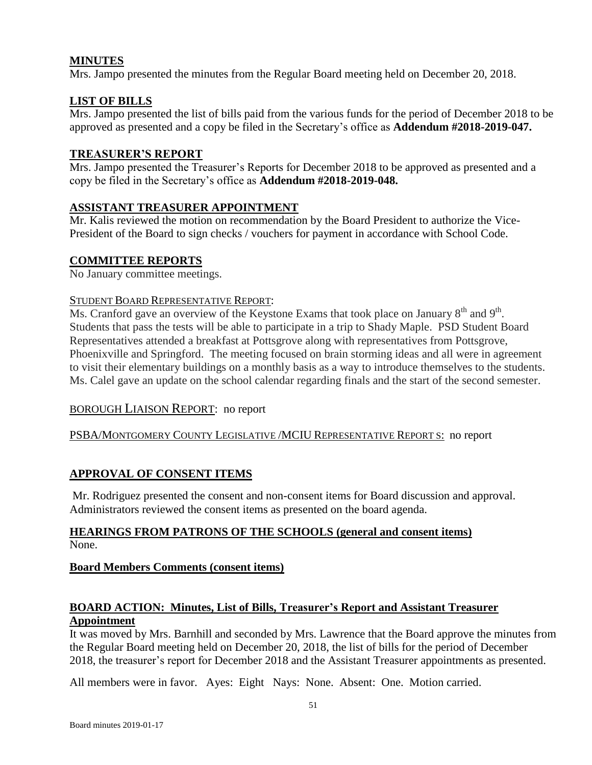# **MINUTES**

Mrs. Jampo presented the minutes from the Regular Board meeting held on December 20, 2018.

# **LIST OF BILLS**

Mrs. Jampo presented the list of bills paid from the various funds for the period of December 2018 to be approved as presented and a copy be filed in the Secretary's office as **Addendum #2018-2019-047.**

# **TREASURER'S REPORT**

Mrs. Jampo presented the Treasurer's Reports for December 2018 to be approved as presented and a copy be filed in the Secretary's office as **Addendum #2018-2019-048.**

# **ASSISTANT TREASURER APPOINTMENT**

Mr. Kalis reviewed the motion on recommendation by the Board President to authorize the Vice-President of the Board to sign checks / vouchers for payment in accordance with School Code.

# **COMMITTEE REPORTS**

No January committee meetings.

## STUDENT BOARD REPRESENTATIVE REPORT:

Ms. Cranford gave an overview of the Keystone Exams that took place on January  $8<sup>th</sup>$  and  $9<sup>th</sup>$ . Students that pass the tests will be able to participate in a trip to Shady Maple. PSD Student Board Representatives attended a breakfast at Pottsgrove along with representatives from Pottsgrove, Phoenixville and Springford. The meeting focused on brain storming ideas and all were in agreement to visit their elementary buildings on a monthly basis as a way to introduce themselves to the students. Ms. Calel gave an update on the school calendar regarding finals and the start of the second semester.

# BOROUGH LIAISON REPORT: no report

## PSBA/MONTGOMERY COUNTY LEGISLATIVE /MCIU REPRESENTATIVE REPORT S: no report

# **APPROVAL OF CONSENT ITEMS**

Mr. Rodriguez presented the consent and non-consent items for Board discussion and approval. Administrators reviewed the consent items as presented on the board agenda.

## **HEARINGS FROM PATRONS OF THE SCHOOLS (general and consent items)** None.

# **Board Members Comments (consent items)**

## **BOARD ACTION: Minutes, List of Bills, Treasurer's Report and Assistant Treasurer Appointment**

It was moved by Mrs. Barnhill and seconded by Mrs. Lawrence that the Board approve the minutes from the Regular Board meeting held on December 20, 2018, the list of bills for the period of December 2018, the treasurer's report for December 2018 and the Assistant Treasurer appointments as presented.

All members were in favor. Ayes: Eight Nays: None. Absent: One. Motion carried.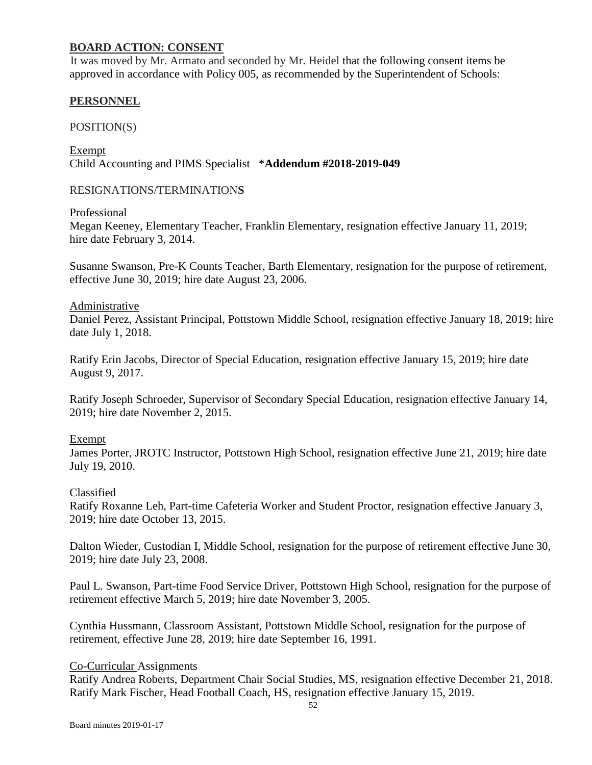## **BOARD ACTION: CONSENT**

It was moved by Mr. Armato and seconded by Mr. Heidel that the following consent items be approved in accordance with Policy 005, as recommended by the Superintendent of Schools:

## **PERSONNEL**

POSITION(S)

Exempt Child Accounting and PIMS Specialist \***Addendum #2018-2019-049**

### RESIGNATIONS/TERMINATION**S**

Professional

Megan Keeney, Elementary Teacher, Franklin Elementary, resignation effective January 11, 2019; hire date February 3, 2014.

Susanne Swanson, Pre-K Counts Teacher, Barth Elementary, resignation for the purpose of retirement, effective June 30, 2019; hire date August 23, 2006.

### Administrative

Daniel Perez, Assistant Principal, Pottstown Middle School, resignation effective January 18, 2019; hire date July 1, 2018.

Ratify Erin Jacobs, Director of Special Education, resignation effective January 15, 2019; hire date August 9, 2017.

Ratify Joseph Schroeder, Supervisor of Secondary Special Education, resignation effective January 14, 2019; hire date November 2, 2015.

### Exempt

James Porter, JROTC Instructor, Pottstown High School, resignation effective June 21, 2019; hire date July 19, 2010.

### Classified

Ratify Roxanne Leh, Part-time Cafeteria Worker and Student Proctor, resignation effective January 3, 2019; hire date October 13, 2015.

Dalton Wieder, Custodian I, Middle School, resignation for the purpose of retirement effective June 30, 2019; hire date July 23, 2008.

Paul L. Swanson, Part-time Food Service Driver, Pottstown High School, resignation for the purpose of retirement effective March 5, 2019; hire date November 3, 2005.

Cynthia Hussmann, Classroom Assistant, Pottstown Middle School, resignation for the purpose of retirement, effective June 28, 2019; hire date September 16, 1991.

### Co-Curricular Assignments

Ratify Andrea Roberts, Department Chair Social Studies, MS, resignation effective December 21, 2018. Ratify Mark Fischer, Head Football Coach, HS, resignation effective January 15, 2019.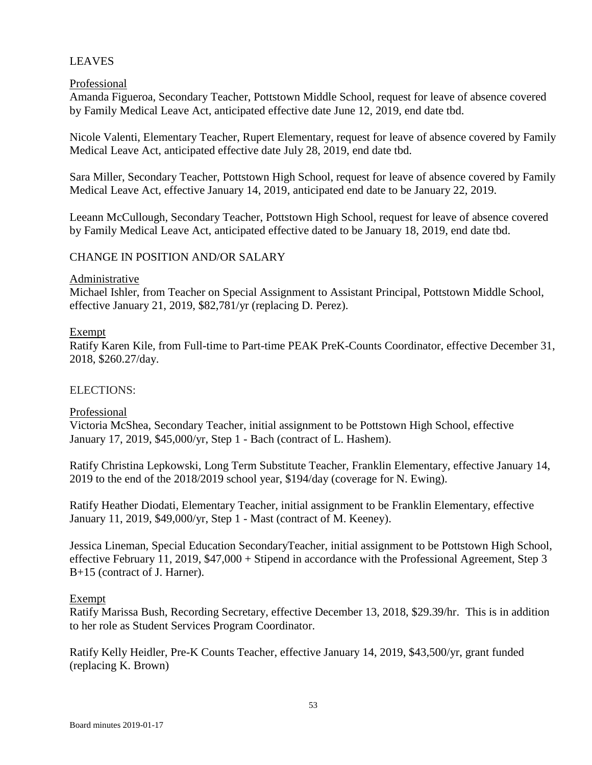## LEAVES

### Professional

Amanda Figueroa, Secondary Teacher, Pottstown Middle School, request for leave of absence covered by Family Medical Leave Act, anticipated effective date June 12, 2019, end date tbd.

Nicole Valenti, Elementary Teacher, Rupert Elementary, request for leave of absence covered by Family Medical Leave Act, anticipated effective date July 28, 2019, end date tbd.

Sara Miller, Secondary Teacher, Pottstown High School, request for leave of absence covered by Family Medical Leave Act, effective January 14, 2019, anticipated end date to be January 22, 2019.

Leeann McCullough, Secondary Teacher, Pottstown High School, request for leave of absence covered by Family Medical Leave Act, anticipated effective dated to be January 18, 2019, end date tbd.

## CHANGE IN POSITION AND/OR SALARY

### Administrative

Michael Ishler, from Teacher on Special Assignment to Assistant Principal, Pottstown Middle School, effective January 21, 2019, \$82,781/yr (replacing D. Perez).

### Exempt

Ratify Karen Kile, from Full-time to Part-time PEAK PreK-Counts Coordinator, effective December 31, 2018, \$260.27/day.

## ELECTIONS:

### Professional

Victoria McShea, Secondary Teacher, initial assignment to be Pottstown High School, effective January 17, 2019, \$45,000/yr, Step 1 - Bach (contract of L. Hashem).

Ratify Christina Lepkowski, Long Term Substitute Teacher, Franklin Elementary, effective January 14, 2019 to the end of the 2018/2019 school year, \$194/day (coverage for N. Ewing).

Ratify Heather Diodati, Elementary Teacher, initial assignment to be Franklin Elementary, effective January 11, 2019, \$49,000/yr, Step 1 - Mast (contract of M. Keeney).

Jessica Lineman, Special Education SecondaryTeacher, initial assignment to be Pottstown High School, effective February 11, 2019, \$47,000 + Stipend in accordance with the Professional Agreement, Step 3 B+15 (contract of J. Harner).

### Exempt

Ratify Marissa Bush, Recording Secretary, effective December 13, 2018, \$29.39/hr. This is in addition to her role as Student Services Program Coordinator.

Ratify Kelly Heidler, Pre-K Counts Teacher, effective January 14, 2019, \$43,500/yr, grant funded (replacing K. Brown)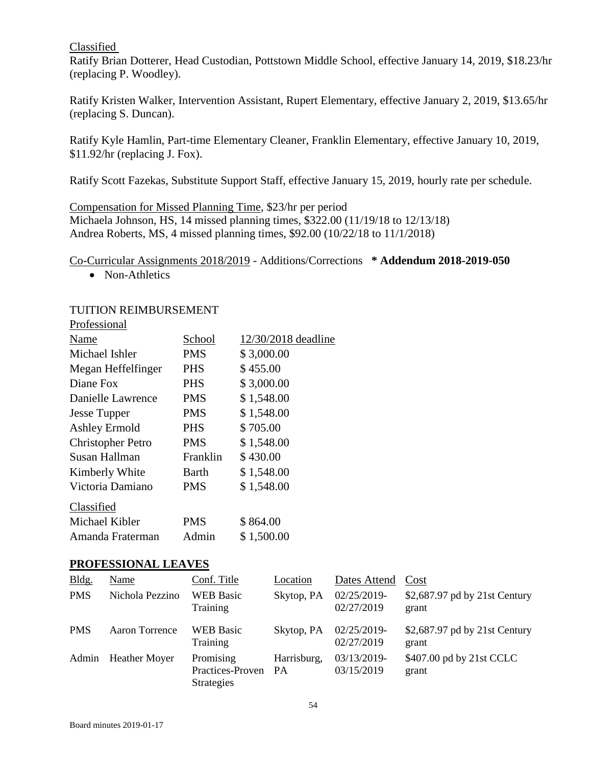### Classified

Ratify Brian Dotterer, Head Custodian, Pottstown Middle School, effective January 14, 2019, \$18.23/hr (replacing P. Woodley).

Ratify Kristen Walker, Intervention Assistant, Rupert Elementary, effective January 2, 2019, \$13.65/hr (replacing S. Duncan).

Ratify Kyle Hamlin, Part-time Elementary Cleaner, Franklin Elementary, effective January 10, 2019, \$11.92/hr (replacing J. Fox).

Ratify Scott Fazekas, Substitute Support Staff, effective January 15, 2019, hourly rate per schedule.

Compensation for Missed Planning Time, \$23/hr per period Michaela Johnson, HS, 14 missed planning times, \$322.00 (11/19/18 to 12/13/18) Andrea Roberts, MS, 4 missed planning times, \$92.00 (10/22/18 to 11/1/2018)

Co-Curricular Assignments 2018/2019 - Additions/Corrections **\* Addendum 2018-2019-050**

• Non-Athletics

## TUITION REIMBURSEMENT

| Professional             |            |                     |
|--------------------------|------------|---------------------|
| Name                     | School     | 12/30/2018 deadline |
| Michael Ishler           | PMS        | \$3,000.00          |
| Megan Heffelfinger       | <b>PHS</b> | \$455.00            |
| Diane Fox                | <b>PHS</b> | \$3,000.00          |
| Danielle Lawrence        | <b>PMS</b> | \$1,548.00          |
| <b>Jesse Tupper</b>      | <b>PMS</b> | \$1,548.00          |
| <b>Ashley Ermold</b>     | <b>PHS</b> | \$705.00            |
| <b>Christopher Petro</b> | <b>PMS</b> | \$1,548.00          |
| Susan Hallman            | Franklin   | \$430.00            |
| Kimberly White           | Barth      | \$1,548.00          |
| Victoria Damiano         | <b>PMS</b> | \$1,548.00          |
| Classified               |            |                     |
| Michael Kibler           | PMS        | \$864.00            |
| Amanda Fraterman         | Admin      | \$1,500.00          |

## **PROFESSIONAL LEAVES**

| Bldg.      | Name                 | Conf. Title                                           | Location    | Dates Attend              | Cost                                   |
|------------|----------------------|-------------------------------------------------------|-------------|---------------------------|----------------------------------------|
| <b>PMS</b> | Nichola Pezzino      | <b>WEB</b> Basic<br>Training                          | Skytop, PA  | 02/25/2019-<br>02/27/2019 | \$2,687.97 pd by 21st Century<br>grant |
| <b>PMS</b> | Aaron Torrence       | <b>WEB</b> Basic<br>Training                          | Skytop, PA  | 02/25/2019-<br>02/27/2019 | \$2,687.97 pd by 21st Century<br>grant |
| Admin      | <b>Heather Moyer</b> | Promising<br>Practices-Proven PA<br><b>Strategies</b> | Harrisburg, | 03/13/2019-<br>03/15/2019 | \$407.00 pd by 21st CCLC<br>grant      |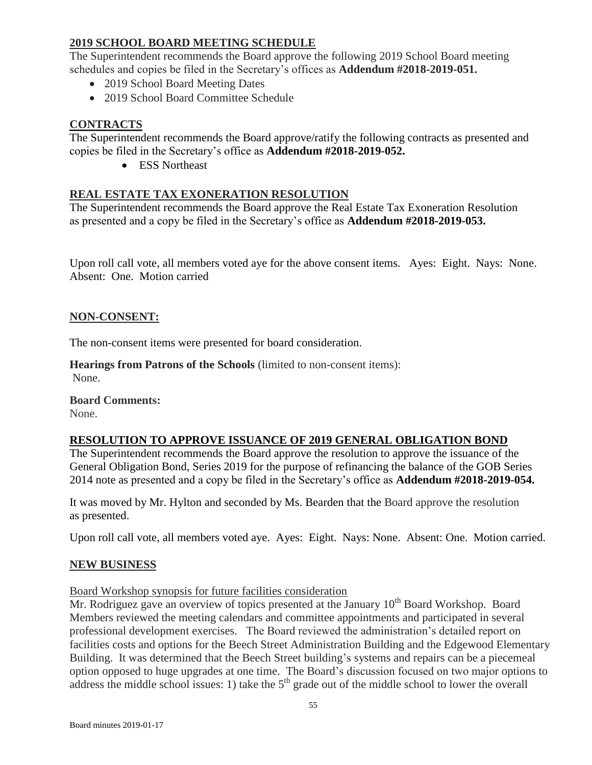# **2019 SCHOOL BOARD MEETING SCHEDULE**

The Superintendent recommends the Board approve the following 2019 School Board meeting schedules and copies be filed in the Secretary's offices as **Addendum #2018-2019-051.**

- 2019 School Board Meeting Dates
- 2019 School Board Committee Schedule

# **CONTRACTS**

The Superintendent recommends the Board approve/ratify the following contracts as presented and copies be filed in the Secretary's office as **Addendum #2018-2019-052.**

• ESS Northeast

## **REAL ESTATE TAX EXONERATION RESOLUTION**

The Superintendent recommends the Board approve the Real Estate Tax Exoneration Resolution as presented and a copy be filed in the Secretary's office as **Addendum #2018-2019-053.**

Upon roll call vote, all members voted aye for the above consent items. Ayes: Eight. Nays: None. Absent: One. Motion carried

## **NON-CONSENT:**

The non-consent items were presented for board consideration.

**Hearings from Patrons of the Schools** (limited to non-consent items): None.

**Board Comments:** None.

## **RESOLUTION TO APPROVE ISSUANCE OF 2019 GENERAL OBLIGATION BOND**

The Superintendent recommends the Board approve the resolution to approve the issuance of the General Obligation Bond, Series 2019 for the purpose of refinancing the balance of the GOB Series 2014 note as presented and a copy be filed in the Secretary's office as **Addendum #2018-2019-054.**

It was moved by Mr. Hylton and seconded by Ms. Bearden that the Board approve the resolution as presented.

Upon roll call vote, all members voted aye. Ayes: Eight. Nays: None. Absent: One. Motion carried.

## **NEW BUSINESS**

Board Workshop synopsis for future facilities consideration

Mr. Rodriguez gave an overview of topics presented at the January  $10<sup>th</sup>$  Board Workshop. Board Members reviewed the meeting calendars and committee appointments and participated in several professional development exercises. The Board reviewed the administration's detailed report on facilities costs and options for the Beech Street Administration Building and the Edgewood Elementary Building. It was determined that the Beech Street building's systems and repairs can be a piecemeal option opposed to huge upgrades at one time. The Board's discussion focused on two major options to address the middle school issues: 1) take the  $5<sup>th</sup>$  grade out of the middle school to lower the overall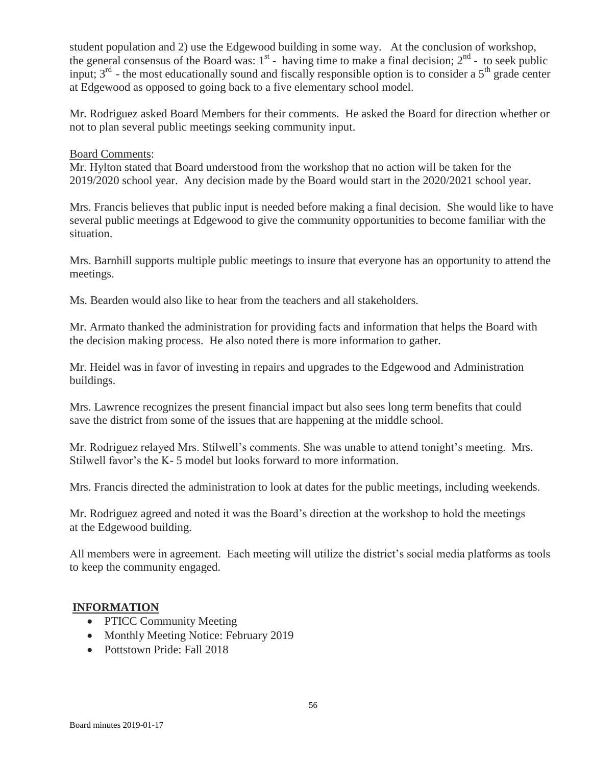student population and 2) use the Edgewood building in some way. At the conclusion of workshop, the general consensus of the Board was:  $1<sup>st</sup>$  - having time to make a final decision;  $2<sup>nd</sup>$  - to seek public input;  $3<sup>rd</sup>$  - the most educationally sound and fiscally responsible option is to consider a  $5<sup>th</sup>$  grade center at Edgewood as opposed to going back to a five elementary school model.

Mr. Rodriguez asked Board Members for their comments. He asked the Board for direction whether or not to plan several public meetings seeking community input.

## Board Comments:

Mr. Hylton stated that Board understood from the workshop that no action will be taken for the 2019/2020 school year. Any decision made by the Board would start in the 2020/2021 school year.

Mrs. Francis believes that public input is needed before making a final decision. She would like to have several public meetings at Edgewood to give the community opportunities to become familiar with the situation.

Mrs. Barnhill supports multiple public meetings to insure that everyone has an opportunity to attend the meetings.

Ms. Bearden would also like to hear from the teachers and all stakeholders.

Mr. Armato thanked the administration for providing facts and information that helps the Board with the decision making process. He also noted there is more information to gather.

Mr. Heidel was in favor of investing in repairs and upgrades to the Edgewood and Administration buildings.

Mrs. Lawrence recognizes the present financial impact but also sees long term benefits that could save the district from some of the issues that are happening at the middle school.

Mr. Rodriguez relayed Mrs. Stilwell's comments. She was unable to attend tonight's meeting. Mrs. Stilwell favor's the K- 5 model but looks forward to more information.

Mrs. Francis directed the administration to look at dates for the public meetings, including weekends.

Mr. Rodriguez agreed and noted it was the Board's direction at the workshop to hold the meetings at the Edgewood building.

All members were in agreement. Each meeting will utilize the district's social media platforms as tools to keep the community engaged.

## **INFORMATION**

- PTICC Community Meeting
- Monthly Meeting Notice: February 2019
- Pottstown Pride: Fall 2018